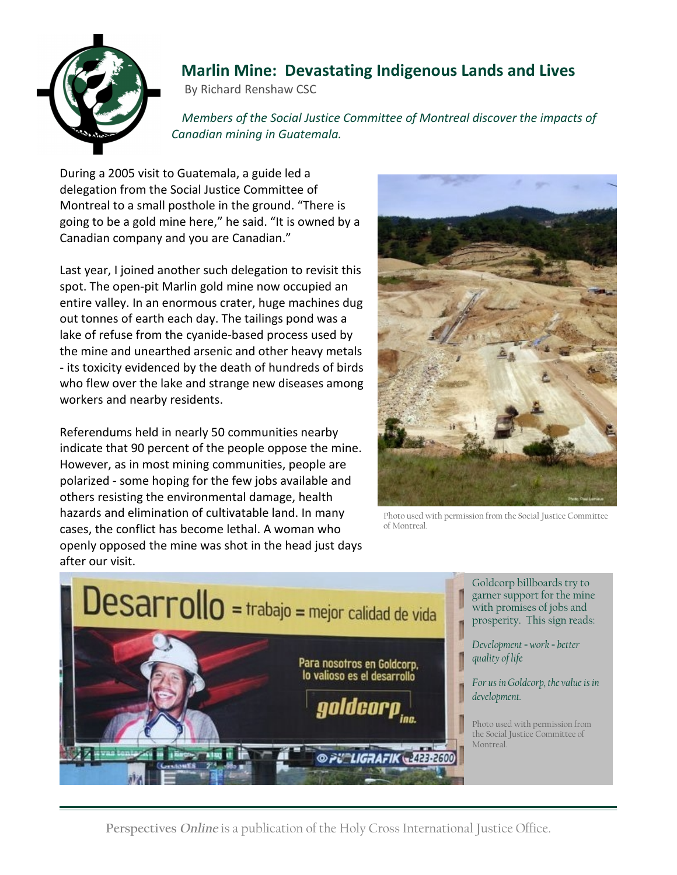

## **Marlin Mine: Devastating Indigenous Lands and Lives**

By Richard Renshaw CSC

 *Members of the Social Justice Committee of Montreal discover the impacts of Canadian mining in Guatemala.*

During a 2005 visit to Guatemala, a guide led a delegation from the Social Justice Committee of Montreal to a small posthole in the ground. "There is going to be a gold mine here," he said. "It is owned by a Canadian company and you are Canadian."

Last year, I joined another such delegation to revisit this spot. The open-pit Marlin gold mine now occupied an entire valley. In an enormous crater, huge machines dug out tonnes of earth each day. The tailings pond was a lake of refuse from the cyanide-based process used by the mine and unearthed arsenic and other heavy metals - its toxicity evidenced by the death of hundreds of birds who flew over the lake and strange new diseases among workers and nearby residents.

Referendums held in nearly 50 communities nearby indicate that 90 percent of the people oppose the mine. However, as in most mining communities, people are polarized - some hoping for the few jobs available and others resisting the environmental damage, health hazards and elimination of cultivatable land. In many cases, the conflict has become lethal. A woman who openly opposed the mine was shot in the head just days after our visit.



Photo used with permission from the Social Justice Committee of Montreal.



Goldcorp billboards try to garner support for the mine with promises of jobs and prosperity. This sign reads:

*Development = work = better quality of life* 

*For us in Goldcorp, the value is in development.*

Photo used with permission from the Social Justice Committee of Montreal.

**Perspectives** *Online* is a publication of the Holy Cross International Justice Office.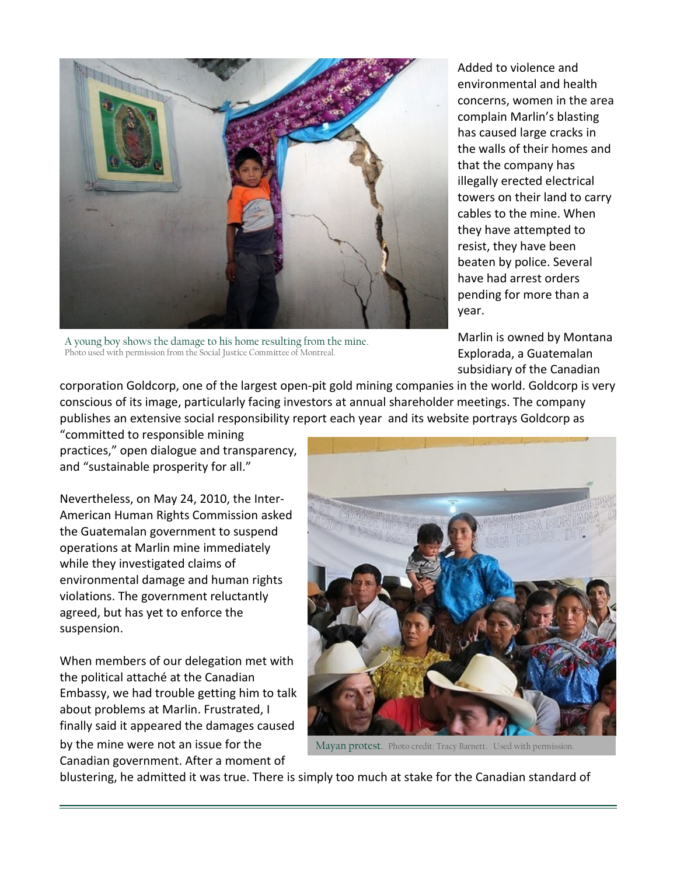

A young boy shows the damage to his home resulting from the mine. Photo used with permission from the Social Justice Committee of Montreal.

Added to violence and environmental and health concerns, women in the area complain Marlin's blasting has caused large cracks in the walls of their homes and that the company has illegally erected electrical towers on their land to carry cables to the mine. When they have attempted to resist, they have been beaten by police. Several have had arrest orders pending for more than a year.

Marlin is owned by Montana Explorada, a Guatemalan subsidiary of the Canadian

corporation Goldcorp, one of the largest open-pit gold mining companies in the world. Goldcorp is very conscious of its image, particularly facing investors at annual shareholder meetings. The company publishes an extensive social responsibility report each year and its website portrays Goldcorp as "committed to responsible mining

practices," open dialogue and transparency, and "sustainable prosperity for all."

Nevertheless, on May 24, 2010, the Inter-American Human Rights Commission asked the Guatemalan government to suspend operations at Marlin mine immediately while they investigated claims of environmental damage and human rights violations. The government reluctantly agreed, but has yet to enforce the suspension.

When members of our delegation met with the political attaché at the Canadian Embassy, we had trouble getting him to talk about problems at Marlin. Frustrated, I finally said it appeared the damages caused by the mine were not an issue for the Canadian government. After a moment of



Mayan protest. Photo credit: Tracy Barnett. Used with permission.

blustering, he admitted it was true. There is simply too much at stake for the Canadian standard of